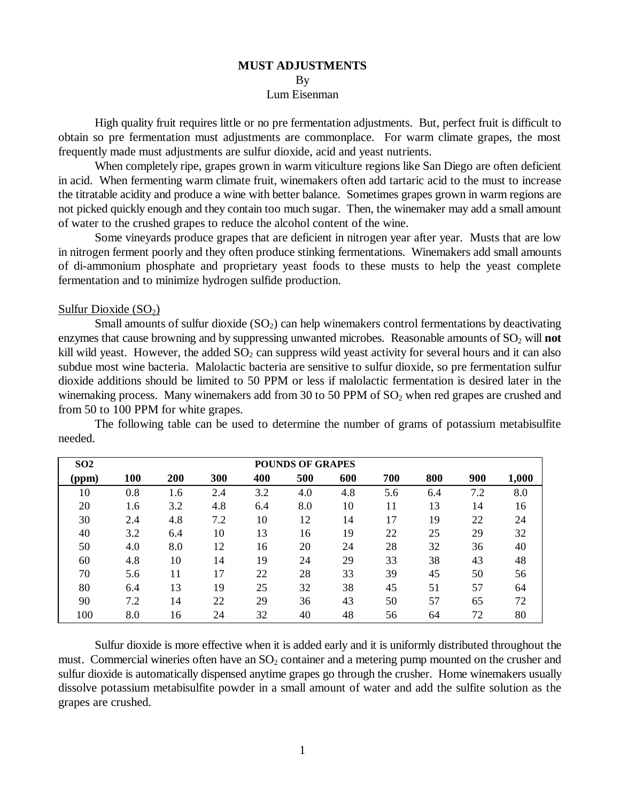## **MUST ADJUSTMENTS** By Lum Eisenman

High quality fruit requires little or no pre fermentation adjustments. But, perfect fruit is difficult to obtain so pre fermentation must adjustments are commonplace. For warm climate grapes, the most frequently made must adjustments are sulfur dioxide, acid and yeast nutrients.

When completely ripe, grapes grown in warm viticulture regions like San Diego are often deficient in acid. When fermenting warm climate fruit, winemakers often add tartaric acid to the must to increase the titratable acidity and produce a wine with better balance. Sometimes grapes grown in warm regions are not picked quickly enough and they contain too much sugar. Then, the winemaker may add a small amount of water to the crushed grapes to reduce the alcohol content of the wine.

Some vineyards produce grapes that are deficient in nitrogen year after year. Musts that are low in nitrogen ferment poorly and they often produce stinking fermentations. Winemakers add small amounts of di-ammonium phosphate and proprietary yeast foods to these musts to help the yeast complete fermentation and to minimize hydrogen sulfide production.

## Sulfur Dioxide  $(SO<sub>2</sub>)$

Small amounts of sulfur dioxide  $(SO_2)$  can help winemakers control fermentations by deactivating enzymes that cause browning and by suppressing unwanted microbes. Reasonable amounts of  $SO<sub>2</sub>$  will **not** kill wild yeast. However, the added  $SO<sub>2</sub>$  can suppress wild yeast activity for several hours and it can also subdue most wine bacteria. Malolactic bacteria are sensitive to sulfur dioxide, so pre fermentation sulfur dioxide additions should be limited to 50 PPM or less if malolactic fermentation is desired later in the winemaking process. Many winemakers add from 30 to 50 PPM of  $SO<sub>2</sub>$  when red grapes are crushed and from 50 to 100 PPM for white grapes.

| SO <sub>2</sub> | <b>POUNDS OF GRAPES</b> |            |     |     |     |     |     |     |     |       |
|-----------------|-------------------------|------------|-----|-----|-----|-----|-----|-----|-----|-------|
| (ppm)           | <b>100</b>              | <b>200</b> | 300 | 400 | 500 | 600 | 700 | 800 | 900 | 1,000 |
| 10              | 0.8                     | 1.6        | 2.4 | 3.2 | 4.0 | 4.8 | 5.6 | 6.4 | 7.2 | 8.0   |
| 20              | 1.6                     | 3.2        | 4.8 | 6.4 | 8.0 | 10  | 11  | 13  | 14  | 16    |
| 30              | 2.4                     | 4.8        | 7.2 | 10  | 12  | 14  | 17  | 19  | 22  | 24    |
| 40              | 3.2                     | 6.4        | 10  | 13  | 16  | 19  | 22  | 25  | 29  | 32    |
| 50              | 4.0                     | 8.0        | 12  | 16  | 20  | 24  | 28  | 32  | 36  | 40    |
| 60              | 4.8                     | 10         | 14  | 19  | 24  | 29  | 33  | 38  | 43  | 48    |
| 70              | 5.6                     | 11         | 17  | 22  | 28  | 33  | 39  | 45  | 50  | 56    |
| 80              | 6.4                     | 13         | 19  | 25  | 32  | 38  | 45  | 51  | 57  | 64    |
| 90              | 7.2                     | 14         | 22  | 29  | 36  | 43  | 50  | 57  | 65  | 72    |
| 100             | 8.0                     | 16         | 24  | 32  | 40  | 48  | 56  | 64  | 72  | 80    |

The following table can be used to determine the number of grams of potassium metabisulfite needed.

Sulfur dioxide is more effective when it is added early and it is uniformly distributed throughout the must. Commercial wineries often have an  $SO<sub>2</sub>$  container and a metering pump mounted on the crusher and sulfur dioxide is automatically dispensed anytime grapes go through the crusher. Home winemakers usually dissolve potassium metabisulfite powder in a small amount of water and add the sulfite solution as the grapes are crushed.